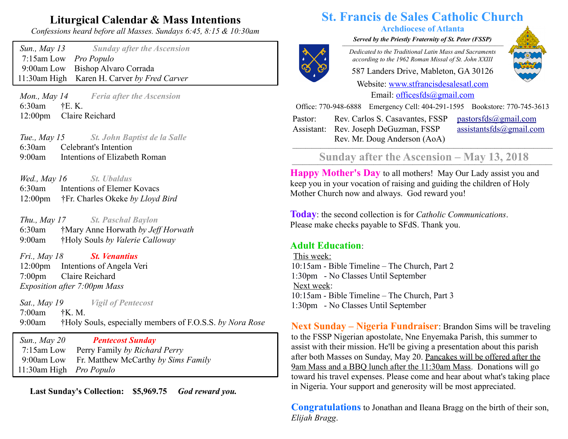# **Liturgical Calendar & Mass Intentions**

*Confessions heard before all Masses. Sundays 6:45, 8:15 & 10:30am*

 *Sun., May 13 Sunday after the Ascension* 7:15am Low *Pro Populo* 9:00am Low Bishop Alvaro Corrada 11:30am High Karen H. Carver *by Fred Carver*

 *Mon., May 14 Feria after the Ascension* 6:30am †E. K. 12:00pm Claire Reichard

 *Tue., May 15 St. John Baptist de la Salle* 6:30am Celebrant's Intention 9:00am Intentions of Elizabeth Roman

 *Wed., May 16 St. Ubaldus* 6:30am Intentions of Elemer Kovacs 12:00pm †Fr. Charles Okeke *by Lloyd Bird*

 *Thu., May 17 St. Paschal Baylon* 6:30am†Mary Anne Horwath *by Jeff Horwath* 9:00am †Holy Souls *by Valerie Calloway*

 *Fri., May 18 St. Venantius* 12:00pm Intentions of Angela Veri 7:00pm Claire Reichard  *Exposition after 7:00pm Mass*

 *Sat., May 19 Vigil of Pentecost* 7:00am†K. M. 9:00am †Holy Souls, especially members of F.O.S.S. *by Nora Rose*

 *Sun., May 20 Pentecost Sunday* 7:15am Low Perry Family *by Richard Perry* 9:00am Low Fr. Matthew McCarthy *by Sims Family* 11:30am High *Pro Populo*

 **Last Sunday's Collection: \$5,969.75** *God reward you.*

# **St. Francis de Sales Catholic Church**

#### **Archdiocese of Atlanta**

*Served by the Priestly Fraternity of St. Peter (FSSP)*  $\overline{a}$   $\overline{a}$   $\overline{a}$   $\overline{a}$   $\overline{a}$   $\overline{a}$   $\overline{a}$   $\overline{a}$   $\overline{a}$   $\overline{a}$   $\overline{a}$   $\overline{a}$   $\overline{a}$   $\overline{a}$   $\overline{a}$   $\overline{a}$   $\overline{a}$   $\overline{a}$   $\overline{a}$   $\overline{a}$   $\overline{a}$   $\overline{a}$   $\overline{a}$   $\overline{a}$   $\overline{$ 



*Dedicated to the Traditional Latin Mass and Sacraments according to the 1962 Roman Missal of St. John XXIII*

587 Landers Drive, Mableton, GA 30126

Website: [www.stfrancisdesalesatl.com](http://www.stfrancisdesalesatl.com/) Email: [officesfds@gmail.com](mailto:officesfds@gmail.com)

Office: 770-948-6888 Emergency Cell: 404-291-1595 Bookstore: 770-745-3613

Pastor: Assistant: Rev. Joseph DeGuzman, FSSP Rev. Carlos S. Casavantes, FSSP Rev. Mr. Doug Anderson (AoA)

 $pastorsfds@gmail.com$ [assistantsfds@gmail.com](mailto:assistantsfds@gmail.com)

## Sunday after the Ascension – May 13, 2018

**Happy Mother's Day** to all mothers! May Our Lady assist you and keep you in your vocation of raising and guiding the children of Holy Mother Church now and always. God reward you!

**Today**: the second collection is for *Catholic Communications*. Please make checks payable to SFdS. Thank you.

#### **Adult Education**:

This week: 10:15am - Bible Timeline – The Church, Part 2 1:30pm - No Classes Until September Next week: 10:15am - Bible Timeline – The Church, Part 3 1:30pm - No Classes Until September

**Next Sunday – Nigeria Fundraiser**: Brandon Sims will be traveling to the FSSP Nigerian apostolate, Nne Enyemaka Parish, this summer to assist with their mission. He'll be giving a presentation about this parish after both Masses on Sunday, May 20. Pancakes will be offered after the 9am Mass and a BBQ lunch after the 11:30am Mass. Donations will go toward his travel expenses. Please come and hear about what's taking place in Nigeria. Your support and generosity will be most appreciated.

**Congratulations** to Jonathan and Ileana Bragg on the birth of their son, *Elijah Bragg*.